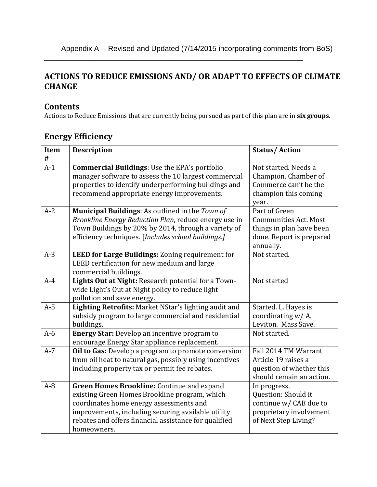#### **ACTIONS TO REDUCE EMISSIONS AND/ OR ADAPT TO EFFECTS OF CLIMATE CHANGE**

\_\_\_\_\_\_\_\_\_\_\_\_\_\_\_\_\_\_\_\_\_\_\_\_\_\_\_\_\_\_\_\_\_\_\_\_\_\_\_\_\_\_\_\_\_\_\_\_\_\_\_\_\_\_\_\_\_\_\_\_\_\_\_

#### **Contents**

Actions to Reduce Emissions that are currently being pursued as part of this plan are in **six groups**.

### **Energy Efficiency**

| Item<br>$\#$ | <b>Description</b>                                                                                                                                                                                                                                                   | <b>Status/Action</b>                                                                                               |
|--------------|----------------------------------------------------------------------------------------------------------------------------------------------------------------------------------------------------------------------------------------------------------------------|--------------------------------------------------------------------------------------------------------------------|
| $A-1$        | <b>Commercial Buildings: Use the EPA's portfolio</b><br>manager software to assess the 10 largest commercial<br>properties to identify underperforming buildings and<br>recommend appropriate energy improvements.                                                   | Not started. Needs a<br>Champion. Chamber of<br>Commerce can't be the<br>champion this coming<br>year.             |
| $A-2$        | Municipal Buildings: As outlined in the Town of<br>Brookline Energy Reduction Plan, reduce energy use in<br>Town Buildings by 20% by 2014, through a variety of<br>efficiency techniques. [Includes school buildings.]                                               | Part of Green<br><b>Communities Act. Most</b><br>things in plan have been<br>done. Report is prepared<br>annually. |
| $A-3$        | LEED for Large Buildings: Zoning requirement for<br>LEED certification for new medium and large<br>commercial buildings.                                                                                                                                             | Not started.                                                                                                       |
| $A-4$        | Lights Out at Night: Research potential for a Town-<br>wide Light's Out at Night policy to reduce light<br>pollution and save energy.                                                                                                                                | Not started                                                                                                        |
| $A-5$        | Lighting Retrofits: Market NStar's lighting audit and<br>subsidy program to large commercial and residential<br>buildings.                                                                                                                                           | Started. L. Hayes is<br>coordinating w/A.<br>Leviton. Mass Save.                                                   |
| $A-6$        | <b>Energy Star:</b> Develop an incentive program to<br>encourage Energy Star appliance replacement.                                                                                                                                                                  | Not started.                                                                                                       |
| $A-7$        | Oil to Gas: Develop a program to promote conversion<br>from oil heat to natural gas, possibly using incentives<br>including property tax or permit fee rebates.                                                                                                      | Fall 2014 TM Warrant<br>Article 19 raises a<br>question of whether this<br>should remain an action.                |
| $A-8$        | Green Homes Brookline: Continue and expand<br>existing Green Homes Brookline program, which<br>coordinates home energy assessments and<br>improvements, including securing available utility<br>rebates and offers financial assistance for qualified<br>homeowners. | In progress.<br>Question: Should it<br>continue w/ CAB due to<br>proprietary involvement<br>of Next Step Living?   |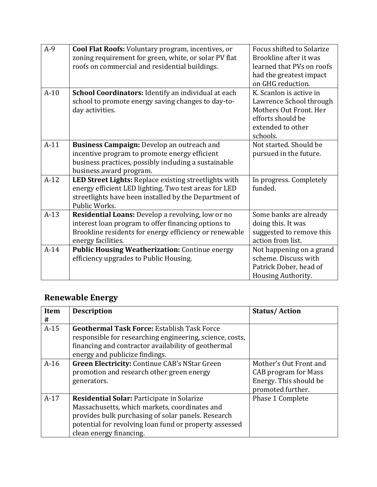| $A-9$  | <b>Cool Flat Roofs:</b> Voluntary program, incentives, or<br>zoning requirement for green, white, or solar PV flat<br>roofs on commercial and residential buildings.                     | Focus shifted to Solarize<br>Brookline after it was<br>learned that PVs on roofs<br>had the greatest impact<br>on GHG reduction.   |
|--------|------------------------------------------------------------------------------------------------------------------------------------------------------------------------------------------|------------------------------------------------------------------------------------------------------------------------------------|
| $A-10$ | School Coordinators: Identify an individual at each<br>school to promote energy saving changes to day-to-<br>day activities.                                                             | K. Scanlon is active in<br>Lawrence School through<br>Mothers Out Front. Her<br>efforts should be<br>extended to other<br>schools. |
| $A-11$ | <b>Business Campaign:</b> Develop an outreach and<br>incentive program to promote energy efficient<br>business practices, possibly including a sustainable<br>business award program.    | Not started. Should be<br>pursued in the future.                                                                                   |
| $A-12$ | LED Street Lights: Replace existing streetlights with<br>energy efficient LED lighting. Two test areas for LED<br>streetlights have been installed by the Department of<br>Public Works. | In progress. Completely<br>funded.                                                                                                 |
| $A-13$ | Residential Loans: Develop a revolving, low or no<br>interest loan program to offer financing options to<br>Brookline residents for energy efficiency or renewable<br>energy facilities. | Some banks are already<br>doing this. It was<br>suggested to remove this<br>action from list.                                      |
| $A-14$ | <b>Public Housing Weatherization: Continue energy</b><br>efficiency upgrades to Public Housing.                                                                                          | Not happening on a grand<br>scheme. Discuss with<br>Patrick Dober, head of<br>Housing Authority.                                   |

## **Renewable Energy**

| Item<br># | <b>Description</b>                                                                                                                                                                                                                            | <b>Status/Action</b>                                                                                 |
|-----------|-----------------------------------------------------------------------------------------------------------------------------------------------------------------------------------------------------------------------------------------------|------------------------------------------------------------------------------------------------------|
| $A-15$    | <b>Geothermal Task Force: Establish Task Force</b><br>responsible for researching engineering, science, costs,<br>financing and contractor availability of geothermal<br>energy and publicize findings.                                       |                                                                                                      |
| $A-16$    | <b>Green Electricity: Continue CAB's NStar Green</b><br>promotion and research other green energy<br>generators.                                                                                                                              | Mother's Out Front and<br><b>CAB</b> program for Mass<br>Energy. This should be<br>promoted further. |
| $A-17$    | <b>Residential Solar: Participate in Solarize</b><br>Massachusetts, which markets, coordinates and<br>provides bulk purchasing of solar panels. Research<br>potential for revolving loan fund or property assessed<br>clean energy financing. | Phase 1 Complete                                                                                     |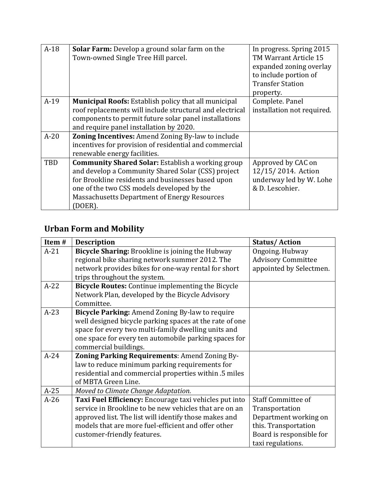| $A-18$ | <b>Solar Farm:</b> Develop a ground solar farm on the<br>Town-owned Single Tree Hill parcel.                                                                                                                                                                                       | In progress. Spring 2015<br>TM Warrant Article 15<br>expanded zoning overlay<br>to include portion of<br><b>Transfer Station</b><br>property. |
|--------|------------------------------------------------------------------------------------------------------------------------------------------------------------------------------------------------------------------------------------------------------------------------------------|-----------------------------------------------------------------------------------------------------------------------------------------------|
| $A-19$ | <b>Municipal Roofs:</b> Establish policy that all municipal<br>roof replacements will include structural and electrical<br>components to permit future solar panel installations<br>and require panel installation by 2020.                                                        | Complete. Panel<br>installation not required.                                                                                                 |
| $A-20$ | <b>Zoning Incentives:</b> Amend Zoning By-law to include<br>incentives for provision of residential and commercial<br>renewable energy facilities.                                                                                                                                 |                                                                                                                                               |
| TBD    | <b>Community Shared Solar: Establish a working group</b><br>and develop a Community Shared Solar (CSS) project<br>for Brookline residents and businesses based upon<br>one of the two CSS models developed by the<br><b>Massachusetts Department of Energy Resources</b><br>DOER). | Approved by CAC on<br>12/15/2014. Action<br>underway led by W. Lohe<br>& D. Lescohier.                                                        |

# **Urban Form and Mobility**

| Item $#$ | <b>Description</b>                                       | <b>Status/Action</b>      |
|----------|----------------------------------------------------------|---------------------------|
| $A-21$   | <b>Bicycle Sharing:</b> Brookline is joining the Hubway  | Ongoing. Hubway           |
|          | regional bike sharing network summer 2012. The           | <b>Advisory Committee</b> |
|          | network provides bikes for one-way rental for short      | appointed by Selectmen.   |
|          | trips throughout the system.                             |                           |
| $A-22$   | <b>Bicycle Routes:</b> Continue implementing the Bicycle |                           |
|          | Network Plan, developed by the Bicycle Advisory          |                           |
|          | Committee.                                               |                           |
| $A-23$   | Bicycle Parking: Amend Zoning By-law to require          |                           |
|          | well designed bicycle parking spaces at the rate of one  |                           |
|          | space for every two multi-family dwelling units and      |                           |
|          | one space for every ten automobile parking spaces for    |                           |
|          | commercial buildings.                                    |                           |
| $A-24$   | Zoning Parking Requirements: Amend Zoning By-            |                           |
|          | law to reduce minimum parking requirements for           |                           |
|          | residential and commercial properties within .5 miles    |                           |
|          | of MBTA Green Line.                                      |                           |
| $A-25$   | Moved to Climate Change Adaptation.                      |                           |
| $A-26$   | Taxi Fuel Efficiency: Encourage taxi vehicles put into   | <b>Staff Committee of</b> |
|          | service in Brookline to be new vehicles that are on an   | Transportation            |
|          | approved list. The list will identify those makes and    | Department working on     |
|          | models that are more fuel-efficient and offer other      | this. Transportation      |
|          | customer-friendly features.                              | Board is responsible for  |
|          |                                                          | taxi regulations.         |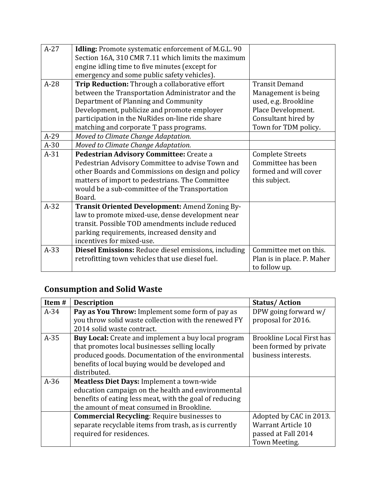| $A-27$ | Idling: Promote systematic enforcement of M.G.L. 90  |                            |
|--------|------------------------------------------------------|----------------------------|
|        | Section 16A, 310 CMR 7.11 which limits the maximum   |                            |
|        | engine idling time to five minutes (except for       |                            |
|        | emergency and some public safety vehicles).          |                            |
| $A-28$ | Trip Reduction: Through a collaborative effort       | <b>Transit Demand</b>      |
|        | between the Transportation Administrator and the     | Management is being        |
|        | Department of Planning and Community                 | used, e.g. Brookline       |
|        | Development, publicize and promote employer          | Place Development.         |
|        | participation in the NuRides on-line ride share      | Consultant hired by        |
|        | matching and corporate T pass programs.              | Town for TDM policy.       |
| $A-29$ | Moved to Climate Change Adaptation.                  |                            |
| $A-30$ | Moved to Climate Change Adaptation.                  |                            |
| $A-31$ | Pedestrian Advisory Committee: Create a              | <b>Complete Streets</b>    |
|        | Pedestrian Advisory Committee to advise Town and     | Committee has been         |
|        | other Boards and Commissions on design and policy    | formed and will cover      |
|        | matters of import to pedestrians. The Committee      | this subject.              |
|        | would be a sub-committee of the Transportation       |                            |
|        | Board.                                               |                            |
| $A-32$ | Transit Oriented Development: Amend Zoning By-       |                            |
|        | law to promote mixed-use, dense development near     |                            |
|        | transit. Possible TOD amendments include reduced     |                            |
|        | parking requirements, increased density and          |                            |
|        | incentives for mixed-use.                            |                            |
| $A-33$ | Diesel Emissions: Reduce diesel emissions, including | Committee met on this.     |
|        | retrofitting town vehicles that use diesel fuel.     | Plan is in place. P. Maher |
|        |                                                      | to follow up.              |

## **Consumption and Solid Waste**

| Item # | <b>Description</b>                                         | <b>Status/Action</b>             |
|--------|------------------------------------------------------------|----------------------------------|
| $A-34$ | Pay as You Throw: Implement some form of pay as            | DPW going forward $w/$           |
|        | you throw solid waste collection with the renewed FY       | proposal for 2016.               |
|        | 2014 solid waste contract.                                 |                                  |
| $A-35$ | <b>Buy Local:</b> Create and implement a buy local program | <b>Brookline Local First has</b> |
|        | that promotes local businesses selling locally             | been formed by private           |
|        | produced goods. Documentation of the environmental         | business interests.              |
|        | benefits of local buying would be developed and            |                                  |
|        | distributed.                                               |                                  |
| $A-36$ | Meatless Diet Days: Implement a town-wide                  |                                  |
|        | education campaign on the health and environmental         |                                  |
|        | benefits of eating less meat, with the goal of reducing    |                                  |
|        | the amount of meat consumed in Brookline.                  |                                  |
|        | <b>Commercial Recycling: Require businesses to</b>         | Adopted by CAC in 2013.          |
|        | separate recyclable items from trash, as is currently      | <b>Warrant Article 10</b>        |
|        | required for residences.                                   | passed at Fall 2014              |
|        |                                                            | Town Meeting.                    |